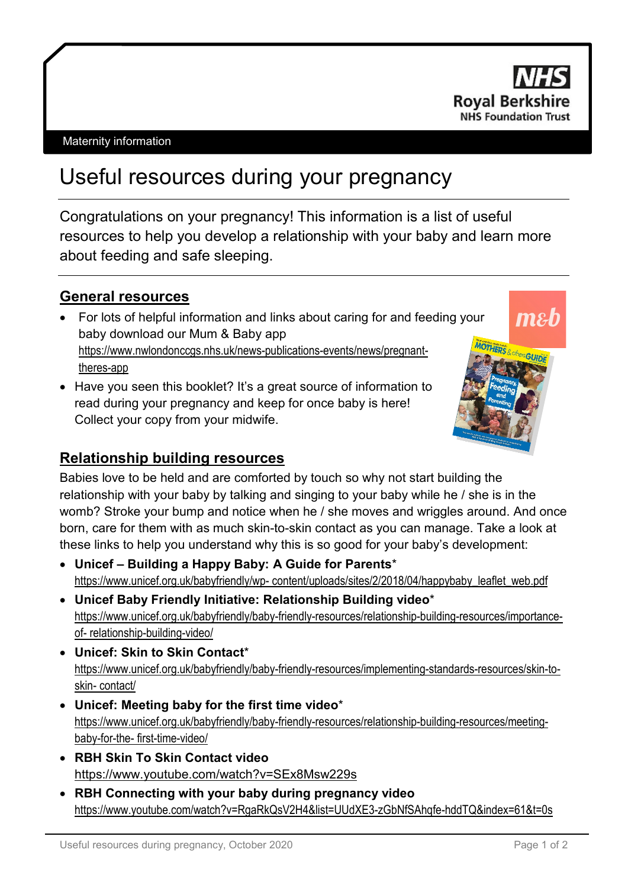

#### Maternity information

# Useful resources during your pregnancy

Congratulations on your pregnancy! This information is a list of useful resources to help you develop a relationship with your baby and learn more about feeding and safe sleeping.

#### **General resources**

- For lots of helpful information and links about caring for and feeding your baby download our Mum & Baby app https://www.nwlondonccgs.nhs.uk/news-publications-events/news/pregnanttheres-app
- Have you seen this booklet? It's a great source of information to read during your pregnancy and keep for once baby is here! Collect your copy from your midwife.



# **Relationship building resources**

Babies love to be held and are comforted by touch so why not start building the relationship with your baby by talking and singing to your baby while he / she is in the womb? Stroke your bump and notice when he / she moves and wriggles around. And once born, care for them with as much skin-to-skin contact as you can manage. Take a look at these links to help you understand why this is so good for your baby's development:

- **Unicef – Building a Happy Baby: A Guide for Parents**\* https:/[/www.unicef.org.uk/babyfriendly/wp-](http://www.unicef.org.uk/babyfriendly/wp-) content/uploads/sites/2/2018/04/happybaby\_leaflet\_web.pdf
- **Unicef Baby Friendly Initiative: Relationship Building video**\* https:/[/www.unicef.org.uk/babyfriendly/baby-friendly-resources/relationship-building-resources/importance](http://www.unicef.org.uk/babyfriendly/baby-friendly-resources/relationship-building-resources/importance-of-)[of-](http://www.unicef.org.uk/babyfriendly/baby-friendly-resources/relationship-building-resources/importance-of-) relationship-building-video/
- **Unicef: Skin to Skin Contact**\* https:/[/www.unicef.org.uk/babyfriendly/baby-friendly-resources/implementing-standards-resources/skin-to](http://www.unicef.org.uk/babyfriendly/baby-friendly-resources/implementing-standards-resources/skin-to-skin-)[skin-](http://www.unicef.org.uk/babyfriendly/baby-friendly-resources/implementing-standards-resources/skin-to-skin-) contact/
- **Unicef: Meeting baby for the first time video**\* https:/[/www.unicef.org.uk/babyfriendly/baby-friendly-resources/relationship-building-resources/meeting](http://www.unicef.org.uk/babyfriendly/baby-friendly-resources/relationship-building-resources/meeting-baby-for-the-)[baby-for-the-](http://www.unicef.org.uk/babyfriendly/baby-friendly-resources/relationship-building-resources/meeting-baby-for-the-) first-time-video/
- **RBH Skin To Skin Contact video** https:/[/www.youtube.com/watch?v=SEx8Msw229s](http://www.youtube.com/watch?v=SEx8Msw229s)
- **RBH Connecting with your baby during pregnancy video** https:/[/www.youtube.com/watch?v=RgaRkQsV2H4&list=UUdXE3-zGbNfSAhqfe-hddTQ&index=61&t=0s](http://www.youtube.com/watch?v=RgaRkQsV2H4&list=UUdXE3-zGbNfSAhqfe-hddTQ&index=61&t=0s)